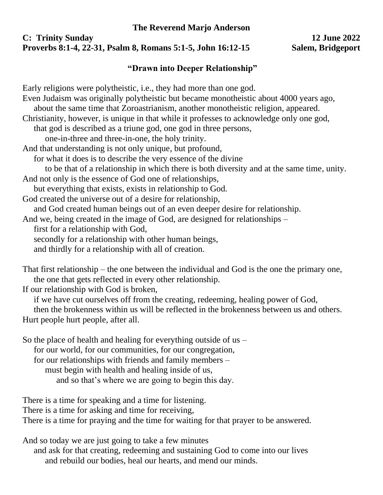## **The Reverend Marjo Anderson**

## **C: Trinity Sunday 12 June 2022 Proverbs 8:1-4, 22-31, Psalm 8, Romans 5:1-5, John 16:12-15 Salem, Bridgeport**

## **"Drawn into Deeper Relationship"**

Early religions were polytheistic, i.e., they had more than one god. Even Judaism was originally polytheistic but became monotheistic about 4000 years ago, about the same time that Zoroastrianism, another monotheistic religion, appeared. Christianity, however, is unique in that while it professes to acknowledge only one god, that god is described as a triune god, one god in three persons, one-in-three and three-in-one, the holy trinity. And that understanding is not only unique, but profound, for what it does is to describe the very essence of the divine to be that of a relationship in which there is both diversity and at the same time, unity. And not only is the essence of God one of relationships, but everything that exists, exists in relationship to God. God created the universe out of a desire for relationship, and God created human beings out of an even deeper desire for relationship. And we, being created in the image of God, are designed for relationships – first for a relationship with God, secondly for a relationship with other human beings, and thirdly for a relationship with all of creation.

That first relationship – the one between the individual and God is the one the primary one, the one that gets reflected in every other relationship.

If our relationship with God is broken,

if we have cut ourselves off from the creating, redeeming, healing power of God,

then the brokenness within us will be reflected in the brokenness between us and others. Hurt people hurt people, after all.

So the place of health and healing for everything outside of  $us$ for our world, for our communities, for our congregation, for our relationships with friends and family members – must begin with health and healing inside of us, and so that's where we are going to begin this day.

There is a time for speaking and a time for listening. There is a time for asking and time for receiving, There is a time for praying and the time for waiting for that prayer to be answered.

And so today we are just going to take a few minutes and ask for that creating, redeeming and sustaining God to come into our lives and rebuild our bodies, heal our hearts, and mend our minds.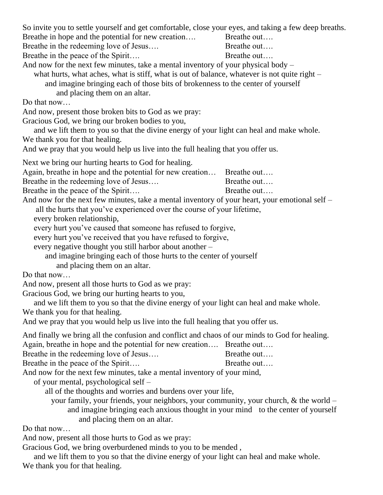| So invite you to settle yourself and get comfortable, close your eyes, and taking a few deep breaths.<br>Breathe in hope and the potential for new creation<br>Breathe in the redeeming love of Jesus<br>Breathe in the peace of the Spirit<br>And now for the next few minutes, take a mental inventory of your physical body -<br>what hurts, what aches, what is stiff, what is out of balance, whatever is not quite right –<br>and imagine bringing each of those bits of brokenness to the center of yourself<br>and placing them on an altar. | Breathe out<br>Breathe out<br>Breathe out |
|------------------------------------------------------------------------------------------------------------------------------------------------------------------------------------------------------------------------------------------------------------------------------------------------------------------------------------------------------------------------------------------------------------------------------------------------------------------------------------------------------------------------------------------------------|-------------------------------------------|
| Do that now<br>And now, present those broken bits to God as we pray:<br>Gracious God, we bring our broken bodies to you,<br>and we lift them to you so that the divine energy of your light can heal and make whole.<br>We thank you for that healing.                                                                                                                                                                                                                                                                                               |                                           |
| And we pray that you would help us live into the full healing that you offer us.                                                                                                                                                                                                                                                                                                                                                                                                                                                                     |                                           |
| Next we bring our hurting hearts to God for healing.<br>Again, breathe in hope and the potential for new creation Breathe out<br>Breathe in the redeeming love of Jesus<br>Breathe in the peace of the Spirit<br>And now for the next few minutes, take a mental inventory of your heart, your emotional self –<br>all the hurts that you've experienced over the course of your lifetime,                                                                                                                                                           | Breathe out<br>Breathe out                |
| every broken relationship,<br>every hurt you've caused that someone has refused to forgive,<br>every hurt you've received that you have refused to forgive,<br>every negative thought you still harbor about another -<br>and imagine bringing each of those hurts to the center of yourself<br>and placing them on an altar.                                                                                                                                                                                                                        |                                           |
| Do that now                                                                                                                                                                                                                                                                                                                                                                                                                                                                                                                                          |                                           |
| And now, present all those hurts to God as we pray:<br>Gracious God, we bring our hurting hearts to you,                                                                                                                                                                                                                                                                                                                                                                                                                                             |                                           |
| and we lift them to you so that the divine energy of your light can heal and make whole.<br>We thank you for that healing.<br>And we pray that you would help us live into the full healing that you offer us.                                                                                                                                                                                                                                                                                                                                       |                                           |
| And finally we bring all the confusion and conflict and chaos of our minds to God for healing.<br>Again, breathe in hope and the potential for new creation Breathe out<br>Breathe in the redeeming love of Jesus<br>Breathe in the peace of the Spirit<br>And now for the next few minutes, take a mental inventory of your mind,<br>of your mental, psychological self –                                                                                                                                                                           | Breathe out<br>Breathe out                |
| all of the thoughts and worries and burdens over your life,<br>your family, your friends, your neighbors, your community, your church, $\&$ the world –<br>and imagine bringing each anxious thought in your mind to the center of yourself<br>and placing them on an altar.                                                                                                                                                                                                                                                                         |                                           |
| Do that now                                                                                                                                                                                                                                                                                                                                                                                                                                                                                                                                          |                                           |

And now, present all those hurts to God as we pray:

Gracious God, we bring overburdened minds to you to be mended ,

and we lift them to you so that the divine energy of your light can heal and make whole. We thank you for that healing.